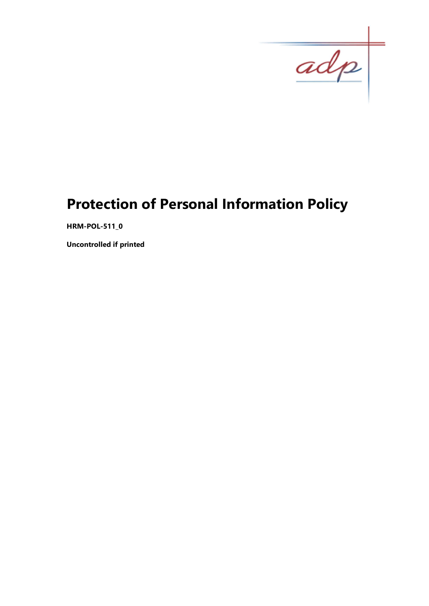$\overline{adp}$ 

# Protection of Personal Information Policy

HRM-POL-511\_0

Uncontrolled if printed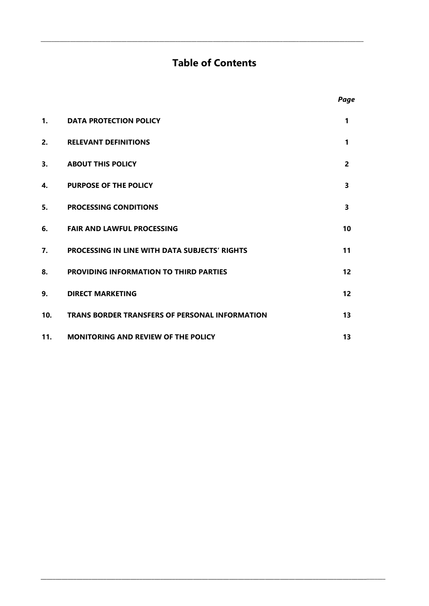# Table of Contents

\_\_\_\_\_\_\_\_\_\_\_\_\_\_\_\_\_\_\_\_\_\_\_\_\_\_\_\_\_\_\_\_\_\_\_\_\_\_\_\_\_\_\_\_\_\_\_\_\_\_\_\_\_\_\_\_\_\_\_\_\_\_\_\_\_\_\_\_\_\_\_\_\_\_\_\_\_\_\_\_\_\_\_\_\_\_\_\_\_\_\_\_\_\_\_\_\_\_\_\_\_\_\_\_\_\_\_\_\_\_\_\_\_\_\_\_\_\_\_\_

|     |                                                       | <i>r</i> uyc      |
|-----|-------------------------------------------------------|-------------------|
| 1.  | <b>DATA PROTECTION POLICY</b>                         | 1                 |
| 2.  | <b>RELEVANT DEFINITIONS</b>                           | 1                 |
| 3.  | <b>ABOUT THIS POLICY</b>                              | $\overline{2}$    |
| 4.  | <b>PURPOSE OF THE POLICY</b>                          | 3                 |
| 5.  | <b>PROCESSING CONDITIONS</b>                          | 3                 |
| 6.  | <b>FAIR AND LAWFUL PROCESSING</b>                     | 10                |
| 7.  | <b>PROCESSING IN LINE WITH DATA SUBJECTS' RIGHTS</b>  | 11                |
| 8.  | PROVIDING INFORMATION TO THIRD PARTIES                | $12 \overline{ }$ |
| 9.  | <b>DIRECT MARKETING</b>                               | 12                |
| 10. | <b>TRANS BORDER TRANSFERS OF PERSONAL INFORMATION</b> | 13                |
| 11. | <b>MONITORING AND REVIEW OF THE POLICY</b>            | 13                |

\_\_\_\_\_\_\_\_\_\_\_\_\_\_\_\_\_\_\_\_\_\_\_\_\_\_\_\_\_\_\_\_\_\_\_\_\_\_\_\_\_\_\_\_\_\_\_\_\_\_\_\_\_\_\_\_\_\_\_\_\_\_\_\_\_\_\_\_\_\_\_\_\_\_\_\_\_\_\_\_\_\_\_\_\_\_\_\_\_\_\_\_\_\_\_\_\_\_\_\_\_\_\_\_\_\_\_\_\_\_\_\_\_\_\_\_

# Page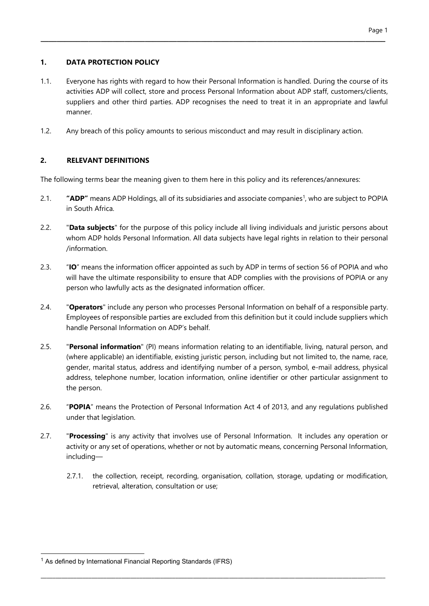# 1. DATA PROTECTION POLICY

1.1. Everyone has rights with regard to how their Personal Information is handled. During the course of its activities ADP will collect, store and process Personal Information about ADP staff, customers/clients, suppliers and other third parties. ADP recognises the need to treat it in an appropriate and lawful manner.

\_\_\_\_\_\_\_\_\_\_\_\_\_\_\_\_\_\_\_\_\_\_\_\_\_\_\_\_\_\_\_\_\_\_\_\_\_\_\_\_\_\_\_\_\_\_\_\_\_\_\_\_\_\_\_\_\_\_\_\_\_\_\_\_\_\_\_\_\_\_\_\_\_\_\_\_\_\_\_\_\_\_\_\_\_\_

1.2. Any breach of this policy amounts to serious misconduct and may result in disciplinary action.

# 2. RELEVANT DEFINITIONS

The following terms bear the meaning given to them here in this policy and its references/annexures:

- 2.1. "**ADP**" means ADP Holdings, all of its subsidiaries and associate companies<sup>1</sup>, who are subject to POPIA in South Africa.
- 2.2. "Data subjects" for the purpose of this policy include all living individuals and juristic persons about whom ADP holds Personal Information. All data subjects have legal rights in relation to their personal /information.
- 2.3. "IO" means the information officer appointed as such by ADP in terms of section 56 of POPIA and who will have the ultimate responsibility to ensure that ADP complies with the provisions of POPIA or any person who lawfully acts as the designated information officer.
- 2.4. "Operators" include any person who processes Personal Information on behalf of a responsible party. Employees of responsible parties are excluded from this definition but it could include suppliers which handle Personal Information on ADP's behalf.
- 2.5. "Personal information" (PI) means information relating to an identifiable, living, natural person, and (where applicable) an identifiable, existing juristic person, including but not limited to, the name, race, gender, marital status, address and identifying number of a person, symbol, e-mail address, physical address, telephone number, location information, online identifier or other particular assignment to the person.
- 2.6. "POPIA" means the Protection of Personal Information Act 4 of 2013, and any regulations published under that legislation.
- 2.7. "Processing" is any activity that involves use of Personal Information. It includes any operation or activity or any set of operations, whether or not by automatic means, concerning Personal Information, including—

\_\_\_\_\_\_\_\_\_\_\_\_\_\_\_\_\_\_\_\_\_\_\_\_\_\_\_\_\_\_\_\_\_\_\_\_\_\_\_\_\_\_\_\_\_\_\_\_\_\_\_\_\_\_\_\_\_\_\_\_\_\_\_\_\_\_\_\_\_\_\_\_\_\_\_\_\_\_\_\_\_\_\_\_\_\_\_\_\_\_\_\_\_\_\_\_\_\_\_\_\_\_\_\_\_\_\_\_\_\_\_\_\_\_\_\_

2.7.1. the collection, receipt, recording, organisation, collation, storage, updating or modification, retrieval, alteration, consultation or use;

<sup>&</sup>lt;sup>1</sup> As defined by International Financial Reporting Standards (IFRS)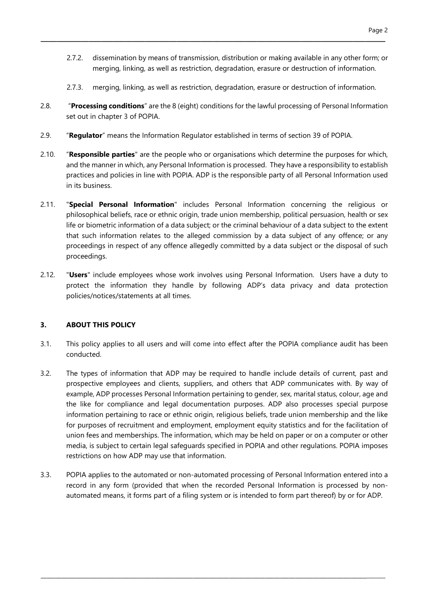- 2.7.2. dissemination by means of transmission, distribution or making available in any other form; or merging, linking, as well as restriction, degradation, erasure or destruction of information.
- 2.7.3. merging, linking, as well as restriction, degradation, erasure or destruction of information.
- 2.8. "Processing conditions" are the 8 (eight) conditions for the lawful processing of Personal Information set out in chapter 3 of POPIA.

\_\_\_\_\_\_\_\_\_\_\_\_\_\_\_\_\_\_\_\_\_\_\_\_\_\_\_\_\_\_\_\_\_\_\_\_\_\_\_\_\_\_\_\_\_\_\_\_\_\_\_\_\_\_\_\_\_\_\_\_\_\_\_\_\_\_\_\_\_\_\_\_\_\_\_\_\_\_\_\_\_\_\_\_\_\_

- 2.9. "Requiator" means the Information Requiator established in terms of section 39 of POPIA.
- 2.10. "Responsible parties" are the people who or organisations which determine the purposes for which, and the manner in which, any Personal Information is processed. They have a responsibility to establish practices and policies in line with POPIA. ADP is the responsible party of all Personal Information used in its business.
- 2.11. "Special Personal Information" includes Personal Information concerning the religious or philosophical beliefs, race or ethnic origin, trade union membership, political persuasion, health or sex life or biometric information of a data subject; or the criminal behaviour of a data subject to the extent that such information relates to the alleged commission by a data subject of any offence; or any proceedings in respect of any offence allegedly committed by a data subject or the disposal of such proceedings.
- 2.12. "**Users**" include employees whose work involves using Personal Information. Users have a duty to protect the information they handle by following ADP's data privacy and data protection policies/notices/statements at all times.

#### 3. ABOUT THIS POLICY

- 3.1. This policy applies to all users and will come into effect after the POPIA compliance audit has been conducted.
- 3.2. The types of information that ADP may be required to handle include details of current, past and prospective employees and clients, suppliers, and others that ADP communicates with. By way of example, ADP processes Personal Information pertaining to gender, sex, marital status, colour, age and the like for compliance and legal documentation purposes. ADP also processes special purpose information pertaining to race or ethnic origin, religious beliefs, trade union membership and the like for purposes of recruitment and employment, employment equity statistics and for the facilitation of union fees and memberships. The information, which may be held on paper or on a computer or other media, is subject to certain legal safeguards specified in POPIA and other regulations. POPIA imposes restrictions on how ADP may use that information.
- 3.3. POPIA applies to the automated or non-automated processing of Personal Information entered into a record in any form (provided that when the recorded Personal Information is processed by nonautomated means, it forms part of a filing system or is intended to form part thereof) by or for ADP.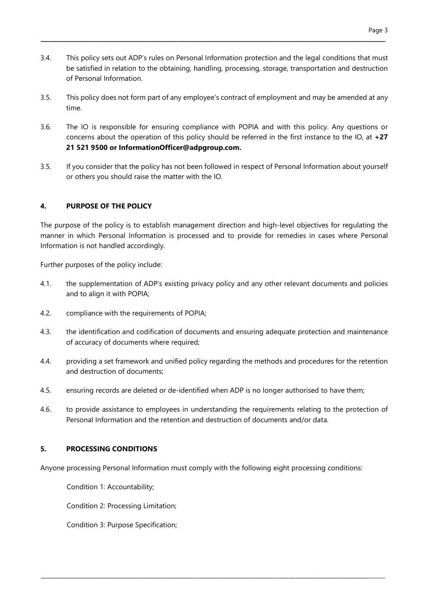3.4. This policy sets out ADP's rules on Personal Information protection and the legal conditions that must be satisfied in relation to the obtaining, handling, processing, storage, transportation and destruction of Personal Information.

\_\_\_\_\_\_\_\_\_\_\_\_\_\_\_\_\_\_\_\_\_\_\_\_\_\_\_\_\_\_\_\_\_\_\_\_\_\_\_\_\_\_\_\_\_\_\_\_\_\_\_\_\_\_\_\_\_\_\_\_\_\_\_\_\_\_\_\_\_\_\_\_\_\_\_\_\_\_\_\_\_\_\_\_\_\_

- 3.5. This policy does not form part of any employee's contract of employment and may be amended at any time.
- 3.6. The IO is responsible for ensuring compliance with POPIA and with this policy. Any questions or concerns about the operation of this policy should be referred in the first instance to the IO, at +27 21 521 9500 or InformationOfficer@adpgroup.com.
- 3.5. If you consider that the policy has not been followed in respect of Personal Information about yourself or others you should raise the matter with the IO.

# 4. PURPOSE OF THE POLICY

The purpose of the policy is to establish management direction and high-level objectives for regulating the manner in which Personal Information is processed and to provide for remedies in cases where Personal Information is not handled accordingly.

Further purposes of the policy include:

- 4.1. the supplementation of ADP's existing privacy policy and any other relevant documents and policies and to align it with POPIA;
- 4.2. compliance with the requirements of POPIA;
- 4.3. the identification and codification of documents and ensuring adequate protection and maintenance of accuracy of documents where required;
- 4.4. providing a set framework and unified policy regarding the methods and procedures for the retention and destruction of documents;
- 4.5. ensuring records are deleted or de-identified when ADP is no longer authorised to have them;
- 4.6. to provide assistance to employees in understanding the requirements relating to the protection of Personal Information and the retention and destruction of documents and/or data.

#### 5. PROCESSING CONDITIONS

Anyone processing Personal Information must comply with the following eight processing conditions:

\_\_\_\_\_\_\_\_\_\_\_\_\_\_\_\_\_\_\_\_\_\_\_\_\_\_\_\_\_\_\_\_\_\_\_\_\_\_\_\_\_\_\_\_\_\_\_\_\_\_\_\_\_\_\_\_\_\_\_\_\_\_\_\_\_\_\_\_\_\_\_\_\_\_\_\_\_\_\_\_\_\_\_\_\_\_\_\_\_\_\_\_\_\_\_\_\_\_\_\_\_\_\_\_\_\_\_\_\_\_\_\_\_\_\_\_

Condition 1: Accountability;

Condition 2: Processing Limitation;

Condition 3: Purpose Specification;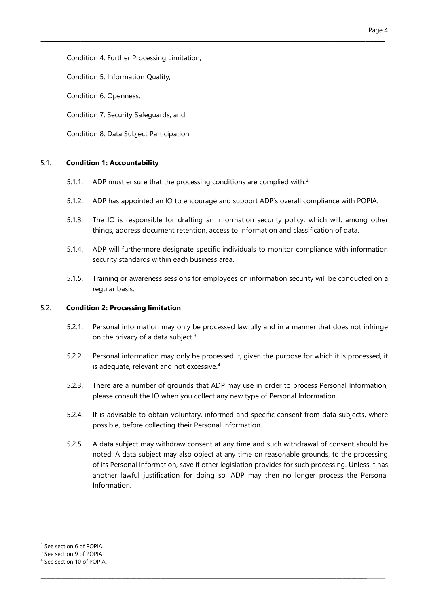Condition 4: Further Processing Limitation;

Condition 5: Information Quality;

Condition 6: Openness;

Condition 7: Security Safeguards; and

Condition 8: Data Subject Participation.

#### 5.1. Condition 1: Accountability

- 5.1.1. ADP must ensure that the processing conditions are complied with.<sup>2</sup>
- 5.1.2. ADP has appointed an IO to encourage and support ADP's overall compliance with POPIA.

\_\_\_\_\_\_\_\_\_\_\_\_\_\_\_\_\_\_\_\_\_\_\_\_\_\_\_\_\_\_\_\_\_\_\_\_\_\_\_\_\_\_\_\_\_\_\_\_\_\_\_\_\_\_\_\_\_\_\_\_\_\_\_\_\_\_\_\_\_\_\_\_\_\_\_\_\_\_\_\_\_\_\_\_\_\_

- 5.1.3. The IO is responsible for drafting an information security policy, which will, among other things, address document retention, access to information and classification of data.
- 5.1.4. ADP will furthermore designate specific individuals to monitor compliance with information security standards within each business area.
- 5.1.5. Training or awareness sessions for employees on information security will be conducted on a regular basis.

#### 5.2. Condition 2: Processing limitation

- 5.2.1. Personal information may only be processed lawfully and in a manner that does not infringe on the privacy of a data subject. $3$
- 5.2.2. Personal information may only be processed if, given the purpose for which it is processed, it is adequate, relevant and not excessive.<sup>4</sup>
- 5.2.3. There are a number of grounds that ADP may use in order to process Personal Information, please consult the IO when you collect any new type of Personal Information.
- 5.2.4. It is advisable to obtain voluntary, informed and specific consent from data subjects, where possible, before collecting their Personal Information.
- 5.2.5. A data subject may withdraw consent at any time and such withdrawal of consent should be noted. A data subject may also object at any time on reasonable grounds, to the processing of its Personal Information, save if other legislation provides for such processing. Unless it has another lawful justification for doing so, ADP may then no longer process the Personal Information.

\_\_\_\_\_\_\_\_\_\_\_\_\_\_\_\_\_\_\_\_\_\_\_\_\_\_\_\_\_\_\_\_\_\_\_\_\_\_\_\_\_\_\_\_\_\_\_\_\_\_\_\_\_\_\_\_\_\_\_\_\_\_\_\_\_\_\_\_\_\_\_\_\_\_\_\_\_\_\_\_\_\_\_\_\_\_\_\_\_\_\_\_\_\_\_\_\_\_\_\_\_\_\_\_\_\_\_\_\_\_\_\_\_\_\_\_

<sup>1</sup> See section 6 of POPIA.

<sup>3</sup> See section 9 of POPIA

<sup>4</sup> See section 10 of POPIA.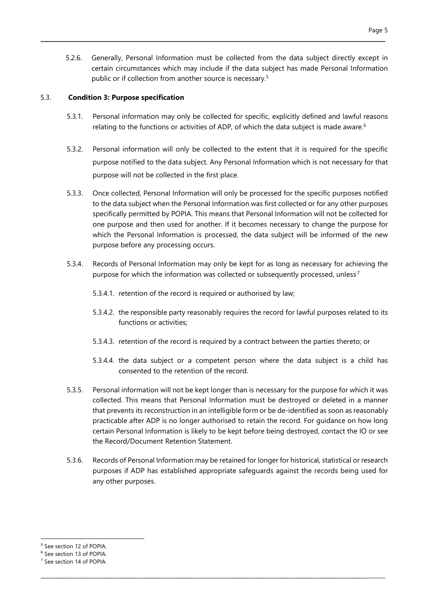5.2.6. Generally, Personal Information must be collected from the data subject directly except in certain circumstances which may include if the data subject has made Personal Information public or if collection from another source is necessary.<sup>5</sup>

\_\_\_\_\_\_\_\_\_\_\_\_\_\_\_\_\_\_\_\_\_\_\_\_\_\_\_\_\_\_\_\_\_\_\_\_\_\_\_\_\_\_\_\_\_\_\_\_\_\_\_\_\_\_\_\_\_\_\_\_\_\_\_\_\_\_\_\_\_\_\_\_\_\_\_\_\_\_\_\_\_\_\_\_\_\_

#### 5.3. Condition 3: Purpose specification

- 5.3.1. Personal information may only be collected for specific, explicitly defined and lawful reasons relating to the functions or activities of ADP, of which the data subject is made aware.<sup>6</sup>
- 5.3.2. Personal information will only be collected to the extent that it is required for the specific purpose notified to the data subject. Any Personal Information which is not necessary for that purpose will not be collected in the first place.
- 5.3.3. Once collected, Personal Information will only be processed for the specific purposes notified to the data subject when the Personal Information was first collected or for any other purposes specifically permitted by POPIA. This means that Personal Information will not be collected for one purpose and then used for another. If it becomes necessary to change the purpose for which the Personal Information is processed, the data subject will be informed of the new purpose before any processing occurs.
- 5.3.4. Records of Personal Information may only be kept for as long as necessary for achieving the purpose for which the information was collected or subsequently processed, unless<sup>7</sup>
	- 5.3.4.1. retention of the record is required or authorised by law;
	- 5.3.4.2. the responsible party reasonably requires the record for lawful purposes related to its functions or activities;
	- 5.3.4.3. retention of the record is required by a contract between the parties thereto; or
	- 5.3.4.4. the data subject or a competent person where the data subject is a child has consented to the retention of the record.
- 5.3.5. Personal information will not be kept longer than is necessary for the purpose for which it was collected. This means that Personal Information must be destroyed or deleted in a manner that prevents its reconstruction in an intelligible form or be de-identified as soon as reasonably practicable after ADP is no longer authorised to retain the record. For guidance on how long certain Personal Information is likely to be kept before being destroyed, contact the IO or see the Record/Document Retention Statement.
- 5.3.6. Records of Personal Information may be retained for longer for historical, statistical or research purposes if ADP has established appropriate safeguards against the records being used for any other purposes.

<sup>-</sup><sup>5</sup> See section 12 of POPIA.

<sup>6</sup> See section 13 of POPIA.

<sup>7</sup> See section 14 of POPIA.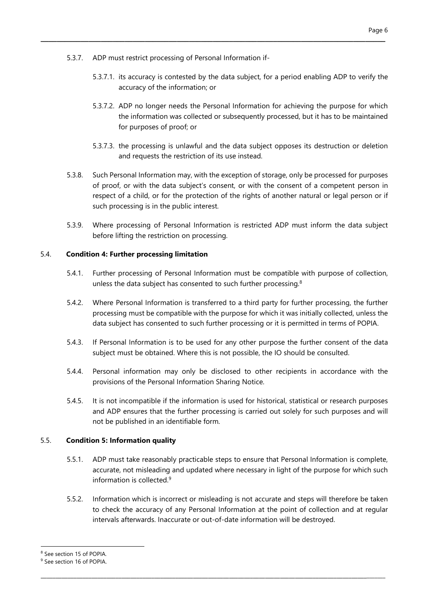- 5.3.7. ADP must restrict processing of Personal Information if-
	- 5.3.7.1. its accuracy is contested by the data subject, for a period enabling ADP to verify the accuracy of the information; or

\_\_\_\_\_\_\_\_\_\_\_\_\_\_\_\_\_\_\_\_\_\_\_\_\_\_\_\_\_\_\_\_\_\_\_\_\_\_\_\_\_\_\_\_\_\_\_\_\_\_\_\_\_\_\_\_\_\_\_\_\_\_\_\_\_\_\_\_\_\_\_\_\_\_\_\_\_\_\_\_\_\_\_\_\_\_

- 5.3.7.2. ADP no longer needs the Personal Information for achieving the purpose for which the information was collected or subsequently processed, but it has to be maintained for purposes of proof; or
- 5.3.7.3. the processing is unlawful and the data subject opposes its destruction or deletion and requests the restriction of its use instead.
- 5.3.8. Such Personal Information may, with the exception of storage, only be processed for purposes of proof, or with the data subject's consent, or with the consent of a competent person in respect of a child, or for the protection of the rights of another natural or legal person or if such processing is in the public interest.
- 5.3.9. Where processing of Personal Information is restricted ADP must inform the data subject before lifting the restriction on processing.

#### 5.4. Condition 4: Further processing limitation

- 5.4.1. Further processing of Personal Information must be compatible with purpose of collection, unless the data subject has consented to such further processing.<sup>8</sup>
- 5.4.2. Where Personal Information is transferred to a third party for further processing, the further processing must be compatible with the purpose for which it was initially collected, unless the data subject has consented to such further processing or it is permitted in terms of POPIA.
- 5.4.3. If Personal Information is to be used for any other purpose the further consent of the data subject must be obtained. Where this is not possible, the IO should be consulted.
- 5.4.4. Personal information may only be disclosed to other recipients in accordance with the provisions of the Personal Information Sharing Notice.
- 5.4.5. It is not incompatible if the information is used for historical, statistical or research purposes and ADP ensures that the further processing is carried out solely for such purposes and will not be published in an identifiable form.

#### 5.5. Condition 5: Information quality

- 5.5.1. ADP must take reasonably practicable steps to ensure that Personal Information is complete, accurate, not misleading and updated where necessary in light of the purpose for which such information is collected. $9$
- 5.5.2. Information which is incorrect or misleading is not accurate and steps will therefore be taken to check the accuracy of any Personal Information at the point of collection and at regular intervals afterwards. Inaccurate or out-of-date information will be destroyed.

\_\_\_\_\_\_\_\_\_\_\_\_\_\_\_\_\_\_\_\_\_\_\_\_\_\_\_\_\_\_\_\_\_\_\_\_\_\_\_\_\_\_\_\_\_\_\_\_\_\_\_\_\_\_\_\_\_\_\_\_\_\_\_\_\_\_\_\_\_\_\_\_\_\_\_\_\_\_\_\_\_\_\_\_\_\_\_\_\_\_\_\_\_\_\_\_\_\_\_\_\_\_\_\_\_\_\_\_\_\_\_\_\_\_\_\_

<sup>8</sup> See section 15 of POPIA.

<sup>9</sup> See section 16 of POPIA.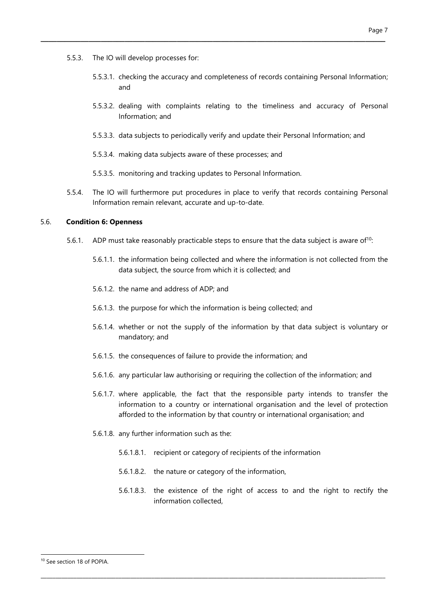- 5.5.3. The IO will develop processes for:
	- 5.5.3.1. checking the accuracy and completeness of records containing Personal Information; and
	- 5.5.3.2. dealing with complaints relating to the timeliness and accuracy of Personal Information; and
	- 5.5.3.3. data subjects to periodically verify and update their Personal Information; and

\_\_\_\_\_\_\_\_\_\_\_\_\_\_\_\_\_\_\_\_\_\_\_\_\_\_\_\_\_\_\_\_\_\_\_\_\_\_\_\_\_\_\_\_\_\_\_\_\_\_\_\_\_\_\_\_\_\_\_\_\_\_\_\_\_\_\_\_\_\_\_\_\_\_\_\_\_\_\_\_\_\_\_\_\_\_

- 5.5.3.4. making data subjects aware of these processes; and
- 5.5.3.5. monitoring and tracking updates to Personal Information.
- 5.5.4. The IO will furthermore put procedures in place to verify that records containing Personal Information remain relevant, accurate and up-to-date.

#### 5.6. Condition 6: Openness

- 5.6.1. ADP must take reasonably practicable steps to ensure that the data subject is aware of<sup>10</sup>:
	- 5.6.1.1. the information being collected and where the information is not collected from the data subject, the source from which it is collected; and
	- 5.6.1.2. the name and address of ADP; and
	- 5.6.1.3. the purpose for which the information is being collected; and
	- 5.6.1.4. whether or not the supply of the information by that data subject is voluntary or mandatory; and
	- 5.6.1.5. the consequences of failure to provide the information; and
	- 5.6.1.6. any particular law authorising or requiring the collection of the information; and
	- 5.6.1.7. where applicable, the fact that the responsible party intends to transfer the information to a country or international organisation and the level of protection afforded to the information by that country or international organisation; and
	- 5.6.1.8. any further information such as the:
		- 5.6.1.8.1. recipient or category of recipients of the information

\_\_\_\_\_\_\_\_\_\_\_\_\_\_\_\_\_\_\_\_\_\_\_\_\_\_\_\_\_\_\_\_\_\_\_\_\_\_\_\_\_\_\_\_\_\_\_\_\_\_\_\_\_\_\_\_\_\_\_\_\_\_\_\_\_\_\_\_\_\_\_\_\_\_\_\_\_\_\_\_\_\_\_\_\_\_\_\_\_\_\_\_\_\_\_\_\_\_\_\_\_\_\_\_\_\_\_\_\_\_\_\_\_\_\_\_

- 5.6.1.8.2. the nature or category of the information,
- 5.6.1.8.3. the existence of the right of access to and the right to rectify the information collected,

<sup>10</sup> See section 18 of POPIA.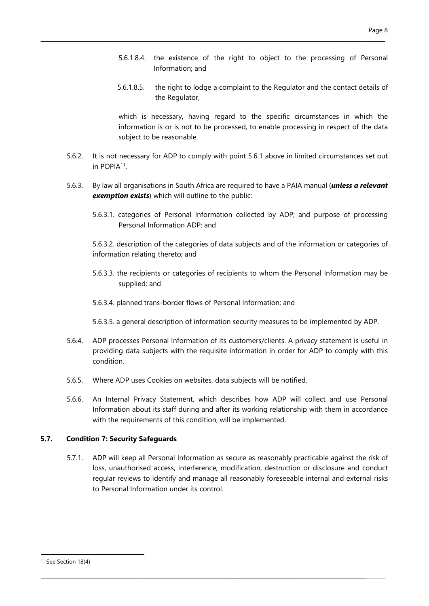- 5.6.1.8.4. the existence of the right to object to the processing of Personal Information; and
- 5.6.1.8.5. the right to lodge a complaint to the Regulator and the contact details of the Regulator,

which is necessary, having regard to the specific circumstances in which the information is or is not to be processed, to enable processing in respect of the data subject to be reasonable.

5.6.2. It is not necessary for ADP to comply with point 5.6.1 above in limited circumstances set out in POPIA<sup>11</sup>.

\_\_\_\_\_\_\_\_\_\_\_\_\_\_\_\_\_\_\_\_\_\_\_\_\_\_\_\_\_\_\_\_\_\_\_\_\_\_\_\_\_\_\_\_\_\_\_\_\_\_\_\_\_\_\_\_\_\_\_\_\_\_\_\_\_\_\_\_\_\_\_\_\_\_\_\_\_\_\_\_\_\_\_\_\_\_

- 5.6.3. By law all organisations in South Africa are required to have a PAIA manual (*unless a relevant* exemption exists) which will outline to the public:
	- 5.6.3.1. categories of Personal Information collected by ADP; and purpose of processing Personal Information ADP; and

5.6.3.2. description of the categories of data subjects and of the information or categories of information relating thereto; and

- 5.6.3.3. the recipients or categories of recipients to whom the Personal Information may be supplied; and
- 5.6.3.4. planned trans-border flows of Personal Information; and
- 5.6.3.5. a general description of information security measures to be implemented by ADP.
- 5.6.4. ADP processes Personal Information of its customers/clients. A privacy statement is useful in providing data subjects with the requisite information in order for ADP to comply with this condition.
- 5.6.5. Where ADP uses Cookies on websites, data subjects will be notified.
- 5.6.6. An Internal Privacy Statement, which describes how ADP will collect and use Personal Information about its staff during and after its working relationship with them in accordance with the requirements of this condition, will be implemented.

#### 5.7. Condition 7: Security Safeguards

5.7.1. ADP will keep all Personal Information as secure as reasonably practicable against the risk of loss, unauthorised access, interference, modification, destruction or disclosure and conduct regular reviews to identify and manage all reasonably foreseeable internal and external risks to Personal Information under its control.

\_\_\_\_\_\_\_\_\_\_\_\_\_\_\_\_\_\_\_\_\_\_\_\_\_\_\_\_\_\_\_\_\_\_\_\_\_\_\_\_\_\_\_\_\_\_\_\_\_\_\_\_\_\_\_\_\_\_\_\_\_\_\_\_\_\_\_\_\_\_\_\_\_\_\_\_\_\_\_\_\_\_\_\_\_\_\_\_\_\_\_\_\_\_\_\_\_\_\_\_\_\_\_\_\_\_\_\_\_\_\_\_\_\_\_\_

<sup>&</sup>lt;sup>11</sup> See Section 18(4)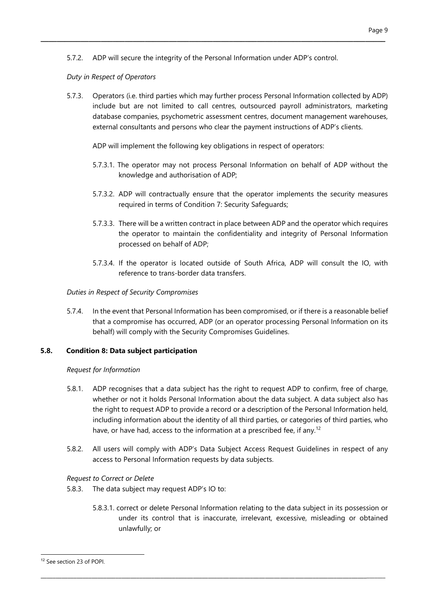5.7.2. ADP will secure the integrity of the Personal Information under ADP's control.

\_\_\_\_\_\_\_\_\_\_\_\_\_\_\_\_\_\_\_\_\_\_\_\_\_\_\_\_\_\_\_\_\_\_\_\_\_\_\_\_\_\_\_\_\_\_\_\_\_\_\_\_\_\_\_\_\_\_\_\_\_\_\_\_\_\_\_\_\_\_\_\_\_\_\_\_\_\_\_\_\_\_\_\_\_\_

### Duty in Respect of Operators

5.7.3. Operators (i.e. third parties which may further process Personal Information collected by ADP) include but are not limited to call centres, outsourced payroll administrators, marketing database companies, psychometric assessment centres, document management warehouses, external consultants and persons who clear the payment instructions of ADP's clients.

ADP will implement the following key obligations in respect of operators:

- 5.7.3.1. The operator may not process Personal Information on behalf of ADP without the knowledge and authorisation of ADP;
- 5.7.3.2. ADP will contractually ensure that the operator implements the security measures required in terms of Condition 7: Security Safeguards;
- 5.7.3.3. There will be a written contract in place between ADP and the operator which requires the operator to maintain the confidentiality and integrity of Personal Information processed on behalf of ADP;
- 5.7.3.4. If the operator is located outside of South Africa, ADP will consult the IO, with reference to trans-border data transfers.

# Duties in Respect of Security Compromises

5.7.4. In the event that Personal Information has been compromised, or if there is a reasonable belief that a compromise has occurred, ADP (or an operator processing Personal Information on its behalf) will comply with the Security Compromises Guidelines.

#### 5.8. Condition 8: Data subject participation

#### Request for Information

- 5.8.1. ADP recognises that a data subject has the right to request ADP to confirm, free of charge, whether or not it holds Personal Information about the data subject. A data subject also has the right to request ADP to provide a record or a description of the Personal Information held, including information about the identity of all third parties, or categories of third parties, who have, or have had, access to the information at a prescribed fee, if any.<sup>12</sup>
- 5.8.2. All users will comply with ADP's Data Subject Access Request Guidelines in respect of any access to Personal Information requests by data subjects.

# Request to Correct or Delete

- 5.8.3. The data subject may request ADP's IO to:
	- 5.8.3.1. correct or delete Personal Information relating to the data subject in its possession or under its control that is inaccurate, irrelevant, excessive, misleading or obtained unlawfully; or

\_\_\_\_\_\_\_\_\_\_\_\_\_\_\_\_\_\_\_\_\_\_\_\_\_\_\_\_\_\_\_\_\_\_\_\_\_\_\_\_\_\_\_\_\_\_\_\_\_\_\_\_\_\_\_\_\_\_\_\_\_\_\_\_\_\_\_\_\_\_\_\_\_\_\_\_\_\_\_\_\_\_\_\_\_\_\_\_\_\_\_\_\_\_\_\_\_\_\_\_\_\_\_\_\_\_\_\_\_\_\_\_\_\_\_\_

<sup>12</sup> See section 23 of POPI.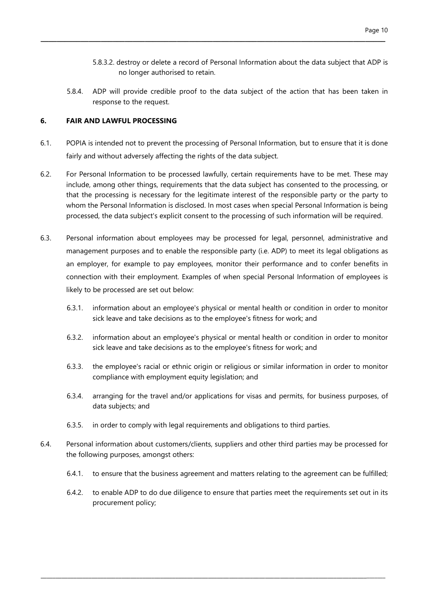- 5.8.3.2. destroy or delete a record of Personal Information about the data subject that ADP is no longer authorised to retain.
- 5.8.4. ADP will provide credible proof to the data subject of the action that has been taken in response to the request.

#### 6. FAIR AND LAWFUL PROCESSING

6.1. POPIA is intended not to prevent the processing of Personal Information, but to ensure that it is done fairly and without adversely affecting the rights of the data subject.

\_\_\_\_\_\_\_\_\_\_\_\_\_\_\_\_\_\_\_\_\_\_\_\_\_\_\_\_\_\_\_\_\_\_\_\_\_\_\_\_\_\_\_\_\_\_\_\_\_\_\_\_\_\_\_\_\_\_\_\_\_\_\_\_\_\_\_\_\_\_\_\_\_\_\_\_\_\_\_\_\_\_\_\_\_\_

- 6.2. For Personal Information to be processed lawfully, certain requirements have to be met. These may include, among other things, requirements that the data subject has consented to the processing, or that the processing is necessary for the legitimate interest of the responsible party or the party to whom the Personal Information is disclosed. In most cases when special Personal Information is being processed, the data subject's explicit consent to the processing of such information will be required.
- 6.3. Personal information about employees may be processed for legal, personnel, administrative and management purposes and to enable the responsible party (i.e. ADP) to meet its legal obligations as an employer, for example to pay employees, monitor their performance and to confer benefits in connection with their employment. Examples of when special Personal Information of employees is likely to be processed are set out below:
	- 6.3.1. information about an employee's physical or mental health or condition in order to monitor sick leave and take decisions as to the employee's fitness for work; and
	- 6.3.2. information about an employee's physical or mental health or condition in order to monitor sick leave and take decisions as to the employee's fitness for work; and
	- 6.3.3. the employee's racial or ethnic origin or religious or similar information in order to monitor compliance with employment equity legislation; and
	- 6.3.4. arranging for the travel and/or applications for visas and permits, for business purposes, of data subjects; and
	- 6.3.5. in order to comply with legal requirements and obligations to third parties.
- 6.4. Personal information about customers/clients, suppliers and other third parties may be processed for the following purposes, amongst others:

- 6.4.1. to ensure that the business agreement and matters relating to the agreement can be fulfilled;
- 6.4.2. to enable ADP to do due diligence to ensure that parties meet the requirements set out in its procurement policy;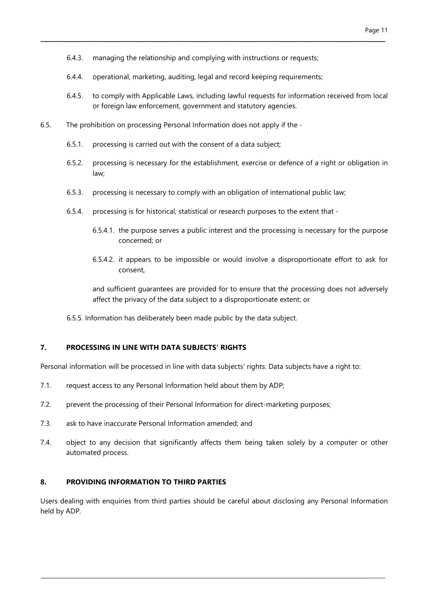6.4.3. managing the relationship and complying with instructions or requests;

\_\_\_\_\_\_\_\_\_\_\_\_\_\_\_\_\_\_\_\_\_\_\_\_\_\_\_\_\_\_\_\_\_\_\_\_\_\_\_\_\_\_\_\_\_\_\_\_\_\_\_\_\_\_\_\_\_\_\_\_\_\_\_\_\_\_\_\_\_\_\_\_\_\_\_\_\_\_\_\_\_\_\_\_\_\_

- 6.4.4. operational, marketing, auditing, legal and record keeping requirements;
- 6.4.5. to comply with Applicable Laws, including lawful requests for information received from local or foreign law enforcement, government and statutory agencies.
- 6.5. The prohibition on processing Personal Information does not apply if the
	- 6.5.1. processing is carried out with the consent of a data subject;
	- 6.5.2. processing is necessary for the establishment, exercise or defence of a right or obligation in law;
	- 6.5.3. processing is necessary to comply with an obligation of international public law;
	- 6.5.4. processing is for historical, statistical or research purposes to the extent that
		- 6.5.4.1. the purpose serves a public interest and the processing is necessary for the purpose concerned; or
		- 6.5.4.2. it appears to be impossible or would involve a disproportionate effort to ask for consent,

and sufficient guarantees are provided for to ensure that the processing does not adversely affect the privacy of the data subject to a disproportionate extent; or

6.5.5. Information has deliberately been made public by the data subject.

#### 7. PROCESSING IN LINE WITH DATA SUBJECTS' RIGHTS

Personal information will be processed in line with data subjects' rights. Data subjects have a right to:

- 7.1. request access to any Personal Information held about them by ADP;
- 7.2. prevent the processing of their Personal Information for direct-marketing purposes;
- 7.3. ask to have inaccurate Personal Information amended; and
- 7.4. object to any decision that significantly affects them being taken solely by a computer or other automated process.

#### 8. PROVIDING INFORMATION TO THIRD PARTIES

Users dealing with enquiries from third parties should be careful about disclosing any Personal Information held by ADP.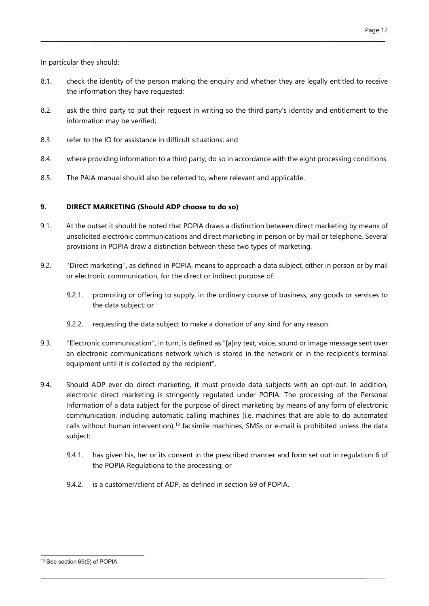In particular they should:

8.1. check the identity of the person making the enquiry and whether they are legally entitled to receive the information they have requested;

\_\_\_\_\_\_\_\_\_\_\_\_\_\_\_\_\_\_\_\_\_\_\_\_\_\_\_\_\_\_\_\_\_\_\_\_\_\_\_\_\_\_\_\_\_\_\_\_\_\_\_\_\_\_\_\_\_\_\_\_\_\_\_\_\_\_\_\_\_\_\_\_\_\_\_\_\_\_\_\_\_\_\_\_\_\_

- 8.2. ask the third party to put their request in writing so the third party's identity and entitlement to the information may be verified;
- 8.3. refer to the IO for assistance in difficult situations; and
- 8.4. where providing information to a third party, do so in accordance with the eight processing conditions.
- 8.5. The PAIA manual should also be referred to, where relevant and applicable.

# 9. DIRECT MARKETING (Should ADP choose to do so)

- 9.1. At the outset it should be noted that POPIA draws a distinction between direct marketing by means of unsolicited electronic communications and direct marketing in person or by mail or telephone. Several provisions in POPIA draw a distinction between these two types of marketing.
- 9.2. ''Direct marketing'', as defined in POPIA, means to approach a data subject, either in person or by mail or electronic communication, for the direct or indirect purpose of:
	- 9.2.1. promoting or offering to supply, in the ordinary course of business, any goods or services to the data subject; or
	- 9.2.2. requesting the data subject to make a donation of any kind for any reason.
- 9.3. ''Electronic communication'', in turn, is defined as "[a]ny text, voice, sound or image message sent over an electronic communications network which is stored in the network or in the recipient's terminal equipment until it is collected by the recipient".
- 9.4. Should ADP ever do direct marketing, it must provide data subjects with an opt-out. In addition, electronic direct marketing is stringently regulated under POPIA. The processing of the Personal Information of a data subject for the purpose of direct marketing by means of any form of electronic communication, including automatic calling machines (i.e. machines that are able to do automated calls without human intervention),<sup>13</sup> facsimile machines, SMSs or e-mail is prohibited unless the data subject:

\_\_\_\_\_\_\_\_\_\_\_\_\_\_\_\_\_\_\_\_\_\_\_\_\_\_\_\_\_\_\_\_\_\_\_\_\_\_\_\_\_\_\_\_\_\_\_\_\_\_\_\_\_\_\_\_\_\_\_\_\_\_\_\_\_\_\_\_\_\_\_\_\_\_\_\_\_\_\_\_\_\_\_\_\_\_\_\_\_\_\_\_\_\_\_\_\_\_\_\_\_\_\_\_\_\_\_\_\_\_\_\_\_\_\_\_

- 9.4.1. has given his, her or its consent in the prescribed manner and form set out in regulation 6 of the POPIA Regulations to the processing; or
- 9.4.2. is a customer/client of ADP, as defined in section 69 of POPIA.

<sup>&</sup>lt;sup>13</sup> See section 69(5) of POPIA.